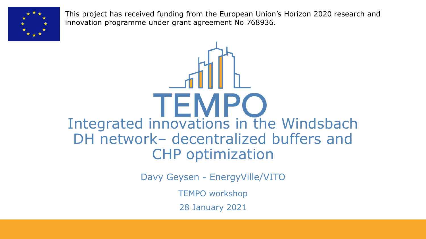

This project has received funding from the European Union's Horizon 2020 research and innovation programme under grant agreement No 768936.

TEMPO Integrated innovations in the Windsbach DH network– decentralized buffers and CHP optimization

Davy Geysen - EnergyVille/VITO

TEMPO workshop

28 January 2021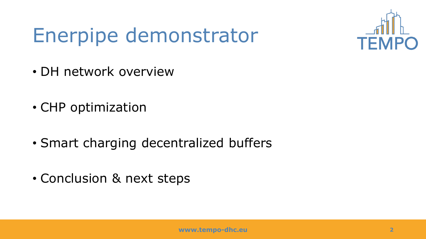## Enerpipe demonstrator



- DH network overview
- CHP optimization
- Smart charging decentralized buffers
- Conclusion & next steps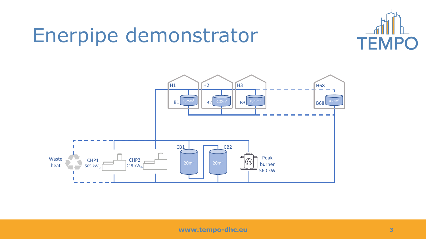#### Enerpipe demonstrator



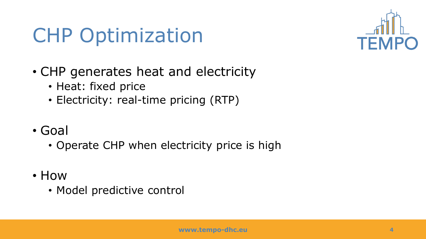#### CHP Optimization



- CHP generates heat and electricity
	- Heat: fixed price
	- Electricity: real-time pricing (RTP)
- Goal
	- Operate CHP when electricity price is high
- How
	- Model predictive control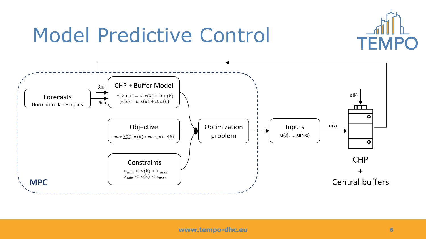

#### Model Predictive Control

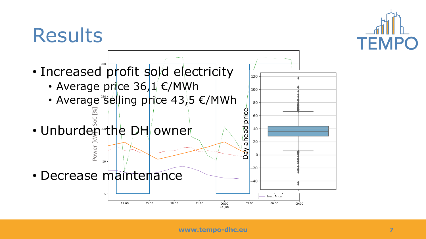

#### **Results**

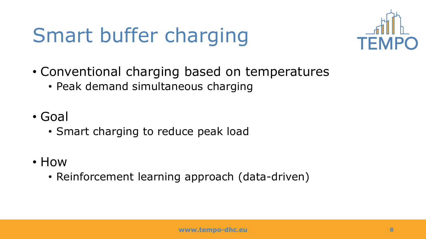# Smart buffer charging



- Conventional charging based on temperatures
	- Peak demand simultaneous charging
- Goal
	- Smart charging to reduce peak load
- How
	- Reinforcement learning approach (data-driven)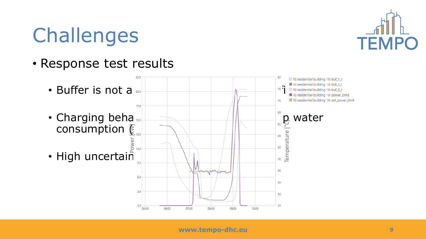## Challenges

• Response test results



**TEMPO**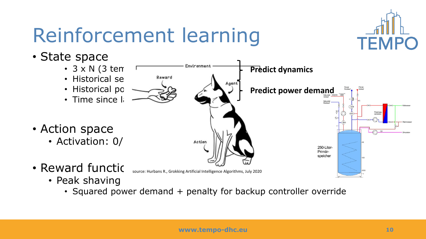## Reinforcement learning



• State space



- Historical se $\bigwedge$ <sup>Reward</sup>  $\bigwedge$ <sub>Agent</sub>
- Historical po
- $\cdot$  Time since last
- Action space
	- Activation: 0/1 (2016)
		- source: Hurbans R., Grokking Artificial Intelligence Algorithms, July 2020
	- Peak shaving

• Reward functic

• Squared power demand + penalty for backup controller override

**Predict dynamics**

**Predict power demand**

250-Liter-Primärspeicher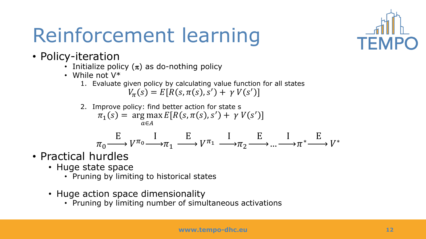# Reinforcement learning



- Policy-iteration
	- Initialize policy  $(\pi)$  as do-nothing policy
	- While not V\*
		- 1. Evaluate given policy by calculating value function for all states  $V_{\pi}(s) = E[R(s, \pi(s), s') + \gamma V(s')]$
		- 2. Improve policy: find better action for state s  $\pi_1(s) = \arg \max E[R(s, \pi(s), s') + \gamma V(s')]$ a∈A

$$
\pi_0 \xrightarrow{E} V^{\pi_0} \xrightarrow{I} \pi_1 \xrightarrow{E} V^{\pi_1} \xrightarrow{I} \pi_2 \xrightarrow{E} \dots \xrightarrow{I} \pi^* \xrightarrow{E} V^*
$$

- Practical hurdles
	- Huge state space
		- Pruning by limiting to historical states
	- Huge action space dimensionality
		- Pruning by limiting number of simultaneous activations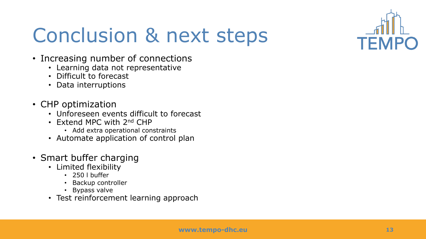

## Conclusion & next steps

- Increasing number of connections
	- Learning data not representative
	- Difficult to forecast
	- Data interruptions
- CHP optimization
	- Unforeseen events difficult to forecast
	- Extend MPC with 2nd CHP
		- Add extra operational constraints
	- Automate application of control plan
- Smart buffer charging
	- Limited flexibility
		- 250 l buffer
		- Backup controller
		- Bypass valve
	- Test reinforcement learning approach